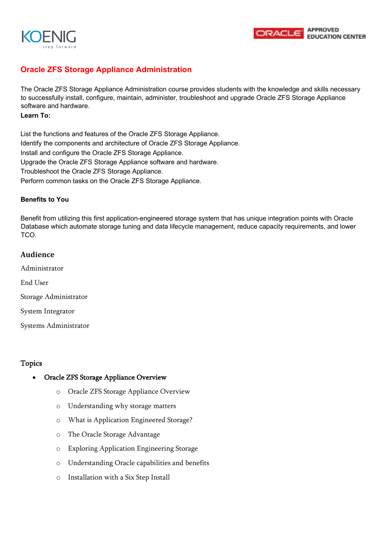



# **Oracle ZFS Storage Appliance Administration**

The Oracle ZFS Storage Appliance Administration course provides students with the knowledge and skills necessary to successfully install, configure, maintain, administer, troubleshoot and upgrade Oracle ZFS Storage Appliance software and hardware.

#### **Learn To:**

List the functions and features of the Oracle ZFS Storage Appliance. Identify the components and architecture of Oracle ZFS Storage Appliance. Install and configure the Oracle ZFS Storage Appliance. Upgrade the Oracle ZFS Storage Appliance software and hardware. Troubleshoot the Oracle ZFS Storage Appliance. Perform common tasks on the Oracle ZFS Storage Appliance.

### **Benefits to You**

Benefit from utilizing this first application-engineered storage system that has unique integration points with Oracle Database which automate storage tuning and data lifecycle management, reduce capacity requirements, and lower TCO.

### **Audience**

- Administrator End User Storage Administrator
- System Integrator
- Systems Administrator

## Topics

#### • Oracle ZFS Storage Appliance Overview

- o Oracle ZFS Storage Appliance Overview
- o Understanding why storage matters
- o What is Application Engineered Storage?
- o The Oracle Storage Advantage
- o Exploring Application Engineering Storage
- o Understanding Oracle capabilities and benefits
- o Installation with a Six Step Install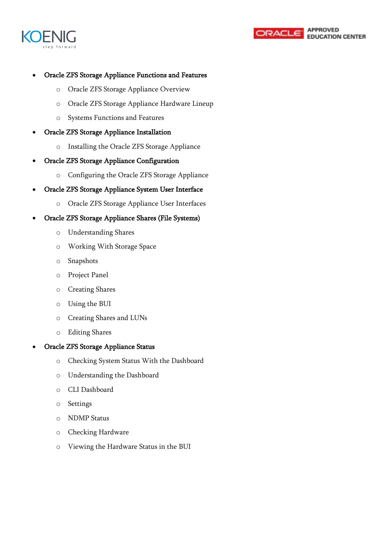



## • Oracle ZFS Storage Appliance Functions and Features

- o Oracle ZFS Storage Appliance Overview
- o Oracle ZFS Storage Appliance Hardware Lineup
- o Systems Functions and Features
- Oracle ZFS Storage Appliance Installation
	- o Installing the Oracle ZFS Storage Appliance
- Oracle ZFS Storage Appliance Configuration
	- o Configuring the Oracle ZFS Storage Appliance
- Oracle ZFS Storage Appliance System User Interface
	- o Oracle ZFS Storage Appliance User Interfaces
- Oracle ZFS Storage Appliance Shares (File Systems)
	- o Understanding Shares
	- o Working With Storage Space
	- o Snapshots
	- o Project Panel
	- o Creating Shares
	- o Using the BUI
	- o Creating Shares and LUNs
	- o Editing Shares

#### • Oracle ZFS Storage Appliance Status

- o Checking System Status With the Dashboard
- o Understanding the Dashboard
- o CLI Dashboard
- o Settings
- o NDMP Status
- o Checking Hardware
- o Viewing the Hardware Status in the BUI